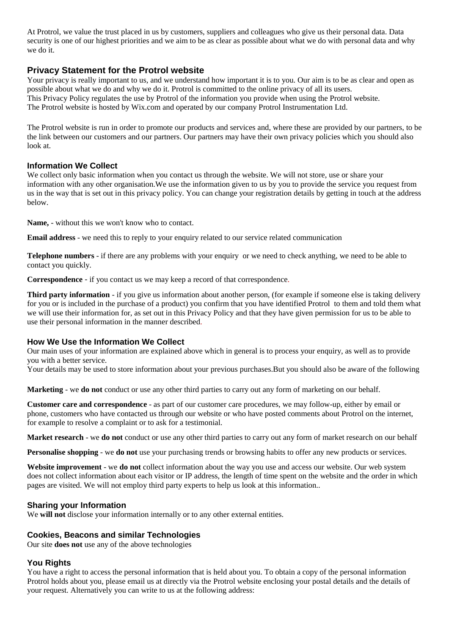At Protrol, we value the trust placed in us by customers, suppliers and colleagues who give us their personal data. Data security is one of our highest priorities and we aim to be as clear as possible about what we do with personal data and why we do it.

## **Privacy Statement for the Protrol website**

Your privacy is really important to us, and we understand how important it is to you. Our aim is to be as clear and open as possible about what we do and why we do it. Protrol is committed to the online privacy of all its users. This Privacy Policy regulates the use by Protrol of the information you provide when using the Protrol website. The Protrol website is hosted by Wix.com and operated by our company Protrol Instrumentation Ltd.

The Protrol website is run in order to promote our products and services and, where these are provided by our partners, to be the link between our customers and our partners. Our partners may have their own privacy policies which you should also look at.

#### **Information We Collect**

We collect only basic information when you contact us through the website. We will not store, use or share your information with any other organisation.We use the information given to us by you to provide the service you request from us in the way that is set out in this privacy policy. You can change your registration details by getting in touch at the address below.

**Name,** - without this we won't know who to contact.

**Email address** - we need this to reply to your enquiry related to our service related communication

**Telephone numbers** - if there are any problems with your enquiry or we need to check anything, we need to be able to contact you quickly.

**Correspondence** - if you contact us we may keep a record of that correspondence.

**Third party information** - if you give us information about another person, (for example if someone else is taking delivery for you or is included in the purchase of a product) you confirm that you have identified Protrol to them and told them what we will use their information for, as set out in this Privacy Policy and that they have given permission for us to be able to use their personal information in the manner described.

#### **How We Use the Information We Collect**

Our main uses of your information are explained above which in general is to process your enquiry, as well as to provide you with a better service.

Your details may be used to store information about your previous purchases.But you should also be aware of the following

**Marketing** - we **do not** conduct or use any other third parties to carry out any form of marketing on our behalf.

**Customer care and correspondence** - as part of our customer care procedures, we may follow-up, either by email or phone, customers who have contacted us through our website or who have posted comments about Protrol on the internet, for example to resolve a complaint or to ask for a testimonial.

**Market research** - we **do not** conduct or use any other third parties to carry out any form of market research on our behalf

**Personalise shopping** - we **do not** use your purchasing trends or browsing habits to offer any new products or services.

**Website improvement** - we **do not** collect information about the way you use and access our website. Our web system does not collect information about each visitor or IP address, the length of time spent on the website and the order in which pages are visited. We will not employ third party experts to help us look at this information..

#### **Sharing your Information**

We **will not** disclose your information internally or to any other external entities.

## **Cookies, Beacons and similar Technologies**

Our site **does not** use any of the above technologies

# **You Rights**

You have a right to access the personal information that is held about you. To obtain a copy of the personal information Protrol holds about you, please email us at directly via the Protrol website enclosing your postal details and the details of your request. Alternatively you can write to us at the following address: